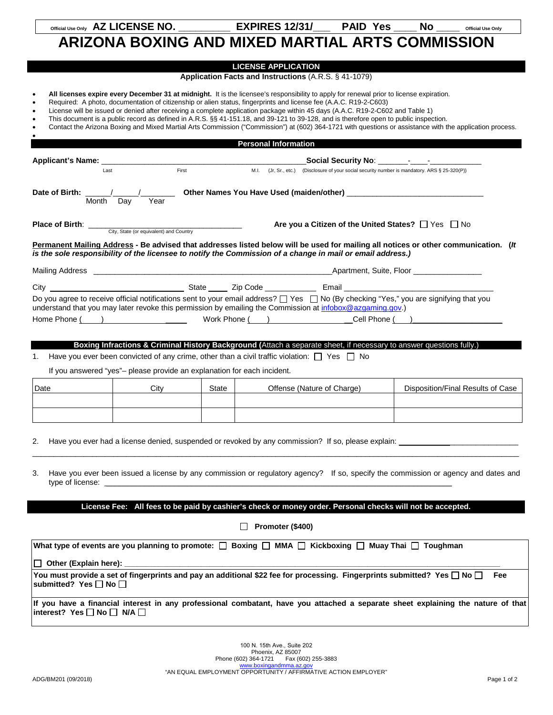## **ARIZONA BOXING AND MIXED MARTIAL ARTS COMMISSION**

## **LICENSE APPLICATION**

## **Application Facts and Instructions** (A.R.S. § 41-1079)

- **All licenses expire every December 31 at midnight.** It is the licensee's responsibility to apply for renewal prior to license expiration.
- Required: A photo, documentation of citizenship or alien status, fingerprints and license fee (A.A.C. R19-2-C603)
- License will be issued or denied after receiving a complete application package within 45 days (A.A.C. R19-2-C602 and Table 1)
- This document is a public record as defined in A.R.S. §§ 41-151.18, and 39-121 to 39-128, and is therefore open to public inspection.
- Contact the Arizona Boxing and Mixed Martial Arts Commission ("Commission") at (602) 364-1721 with questions or assistance with the application process.

|                                                                                                             |             |       | <b>Personal Information</b>                                                                    |                            |                                                                                                                                     |
|-------------------------------------------------------------------------------------------------------------|-------------|-------|------------------------------------------------------------------------------------------------|----------------------------|-------------------------------------------------------------------------------------------------------------------------------------|
|                                                                                                             |             |       |                                                                                                |                            |                                                                                                                                     |
| <b>Applicant's Name:</b> Last First                                                                         |             |       | M.I. (Jr, Sr., etc.) (Disclosure of your social security number is mandatory. ARS § 25-320(P)) |                            |                                                                                                                                     |
| Date of Birth: /<br>Month Dav                                                                               | Year        |       |                                                                                                |                            |                                                                                                                                     |
| <b>Place of Birth:</b> City, State (or equivalent) and Country                                              |             |       |                                                                                                |                            | Are you a Citizen of the United States? $\Box$ Yes $\Box$ No                                                                        |
| is the sole responsibility of the licensee to notify the Commission of a change in mail or email address.)  |             |       |                                                                                                |                            | Permanent Mailing Address - Be advised that addresses listed below will be used for mailing all notices or other communication. (It |
|                                                                                                             |             |       |                                                                                                |                            |                                                                                                                                     |
|                                                                                                             |             |       |                                                                                                |                            |                                                                                                                                     |
| Have you ever been convicted of any crime, other than a civil traffic violation: $\Box$ Yes $\Box$ No<br>1. |             |       |                                                                                                |                            | Boxing Infractions & Criminal History Background (Attach a separate sheet, if necessary to answer questions fully.)                 |
| If you answered "yes"- please provide an explanation for each incident.                                     |             |       |                                                                                                |                            |                                                                                                                                     |
| Date                                                                                                        | <b>City</b> | State |                                                                                                | Offense (Nature of Charge) | Disposition/Final Results of Case                                                                                                   |
|                                                                                                             |             |       |                                                                                                |                            |                                                                                                                                     |
| 2.                                                                                                          |             |       |                                                                                                |                            |                                                                                                                                     |
| 3.                                                                                                          |             |       |                                                                                                |                            | Have you ever been issued a license by any commission or regulatory agency? If so, specify the commission or agency and dates and   |
|                                                                                                             |             |       |                                                                                                |                            | License Fee: All fees to be paid by cashier's check or money order. Personal checks will not be accepted.                           |
|                                                                                                             |             |       | Promoter (\$400)                                                                               |                            |                                                                                                                                     |
| What type of events are you planning to promote: [ Boxing [ MMA   Kickboxing   Muay Thai   Toughman         |             |       |                                                                                                |                            |                                                                                                                                     |
| □ Other (Explain here):                                                                                     |             |       |                                                                                                |                            |                                                                                                                                     |

You must provide a set of fingerprints and pay an additional \$22 fee for processing. Fingerprints submitted? Yes  $\Box$  No  $\Box$  Fee submitted? Yes □ No □

**If you have a financial interest in any professional combatant, have you attached a separate sheet explaining the nature of that**   $interest?$  Yes  $\Box$  No  $\Box$  N/A  $\Box$